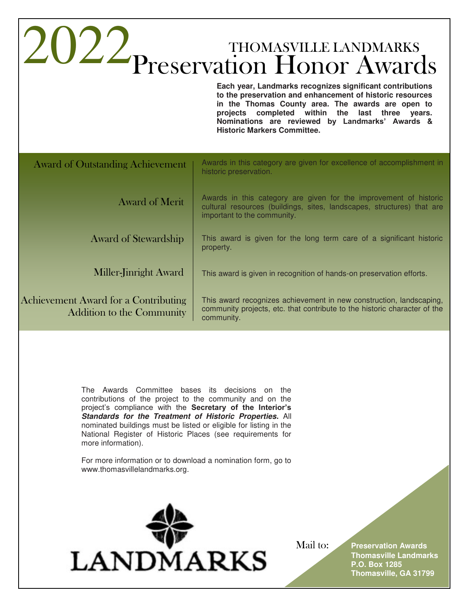|                                                                          | ZUZZ THOMASVILLE LANDMARKS<br>Each year, Landmarks recognizes significant contributions<br>to the preservation and enhancement of historic resources<br>in the Thomas County area. The awards are open to<br>projects completed within the last three years.<br>Nominations are reviewed by Landmarks' Awards &<br><b>Historic Markers Committee.</b> |
|--------------------------------------------------------------------------|-------------------------------------------------------------------------------------------------------------------------------------------------------------------------------------------------------------------------------------------------------------------------------------------------------------------------------------------------------|
| <b>Award of Outstanding Achievement</b>                                  | Awards in this category are given for excellence of accomplishment in<br>historic preservation.                                                                                                                                                                                                                                                       |
| <b>Award of Merit</b>                                                    | Awards in this category are given for the improvement of historic<br>cultural resources (buildings, sites, landscapes, structures) that are<br>important to the community.                                                                                                                                                                            |
| <b>Award of Stewardship</b>                                              | This award is given for the long term care of a significant historic<br>property.                                                                                                                                                                                                                                                                     |
| Miller-Jinright Award                                                    | This award is given in recognition of hands-on preservation efforts.                                                                                                                                                                                                                                                                                  |
| Achievement Award for a Contributing<br><b>Addition to the Community</b> | This award recognizes achievement in new construction, landscaping,<br>community projects, etc. that contribute to the historic character of the<br>community.                                                                                                                                                                                        |
|                                                                          |                                                                                                                                                                                                                                                                                                                                                       |

The Awards Committee bases its decisions on the contributions of the project to the community and on the project's compliance with the **Secretary of the Interior's Standards for the Treatment of Historic Properties.** All nominated buildings must be listed or eligible for listing in the National Register of Historic Places (see requirements for more information).

For more information or to download a nomination form, go to www.thomasvillelandmarks.org.



Mail to: **Preservation Awards Thomasville Landmarks P.O. Box 1285 Thomasville, GA 31799**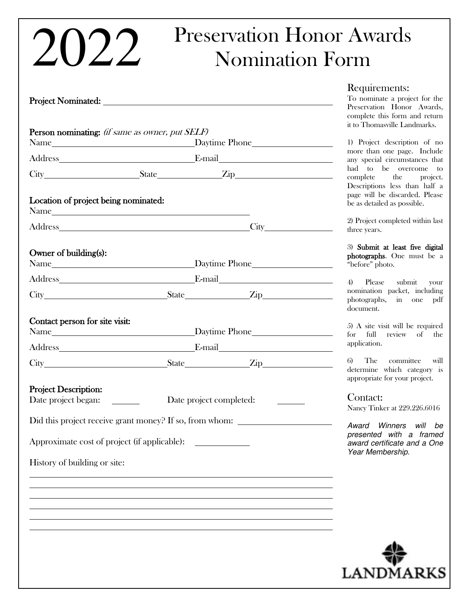## Preservation Honor Awards 2022 Nomination Form

| <b>Project Nominated:</b>                          |                                         |                                                                                                                                                                                                                                |  |
|----------------------------------------------------|-----------------------------------------|--------------------------------------------------------------------------------------------------------------------------------------------------------------------------------------------------------------------------------|--|
| Person nominating: (if same as owner, put SELF)    |                                         |                                                                                                                                                                                                                                |  |
|                                                    |                                         | Address E-mail E-mail E-mail E-mail E-mail E-mail E-mail E-mail E-mail E-mail E-mail E-mail E-mail E-mail E-mail E-mail E-mail E-mail E-mail E-mail E-mail E-mail E-mail E-mail E-mail E-mail E-mail E-mail E-mail E-mail E-ma |  |
|                                                    |                                         |                                                                                                                                                                                                                                |  |
| Location of project being nominated:               |                                         |                                                                                                                                                                                                                                |  |
|                                                    |                                         | Address City City                                                                                                                                                                                                              |  |
| Owner of building(s):                              |                                         | Name Later and the Contract of Daytime Phone                                                                                                                                                                                   |  |
|                                                    |                                         | Address E-mail E-mail E-mail                                                                                                                                                                                                   |  |
|                                                    |                                         | City State Zip                                                                                                                                                                                                                 |  |
| Contact person for site visit:<br>Name             |                                         | Daytime Phone<br>Address E-mail E-mail                                                                                                                                                                                         |  |
|                                                    |                                         | City State Zip                                                                                                                                                                                                                 |  |
| <b>Project Description:</b><br>Date project began: | $\mathcal{L} = \mathcal{L} \mathcal{L}$ | Date project completed:                                                                                                                                                                                                        |  |
|                                                    |                                         | Did this project receive grant money? If so, from whom:                                                                                                                                                                        |  |
| Approximate cost of project (if applicable):       |                                         |                                                                                                                                                                                                                                |  |
| History of building or site:                       |                                         |                                                                                                                                                                                                                                |  |
|                                                    |                                         |                                                                                                                                                                                                                                |  |
|                                                    |                                         |                                                                                                                                                                                                                                |  |
|                                                    |                                         |                                                                                                                                                                                                                                |  |
|                                                    |                                         |                                                                                                                                                                                                                                |  |
|                                                    |                                         |                                                                                                                                                                                                                                |  |

## Requirements:

To nominate a project for the Preservation Honor Awards, complete this form and return it to Thomasville Landmarks.

1) Project description of no more than one page. Include any special circumstances that had to be overcome to complete the project. Descriptions less than half a page will be discarded. Please be as detailed as possible.

2) Project completed within last three years.

3) Submit at least five digital photographs. One must be a "before" photo.

4) Please submit your nomination packet, including photographs, in one pdf document.

5) A site visit will be required for full review of the application.

6) The committee will determine which category is appropriate for your project.

Contact:

Nancy Tinker at 229.226.6016

Award Winners will be presented with a framed award certificate and a One Year Membership.